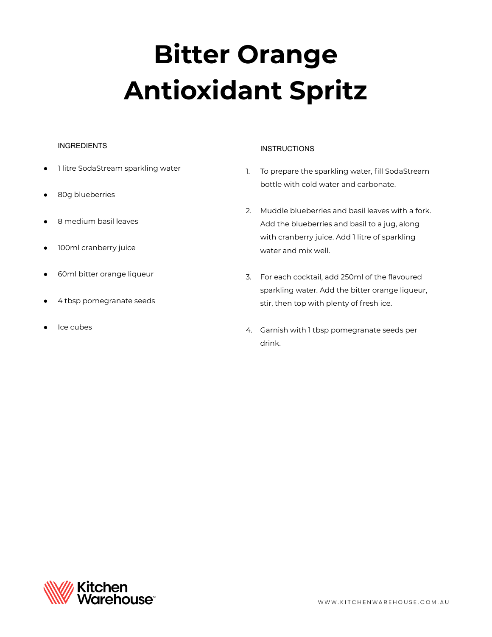# **Bitter Orange Antioxidant Spritz**

### INGREDIENTS

- 1 litre SodaStream sparkling water
- 80g blueberries
- 8 medium basil leaves
- 100ml cranberry juice
- 60ml bitter orange liqueur
- 4 tbsp pomegranate seeds
- Ice cubes

## **INSTRUCTIONS**

- 1. To prepare the sparkling water, fill SodaStream bottle with cold water and carbonate.
- 2. Muddle blueberries and basil leaves with a fork. Add the blueberries and basil to a jug, along with cranberry juice. Add 1 litre of sparkling water and mix well.
- 3. For each cocktail, add 250ml of the flavoured sparkling water. Add the bitter orange liqueur, stir, then top with plenty of fresh ice.
- 4. Garnish with 1 tbsp pomegranate seeds per drink.